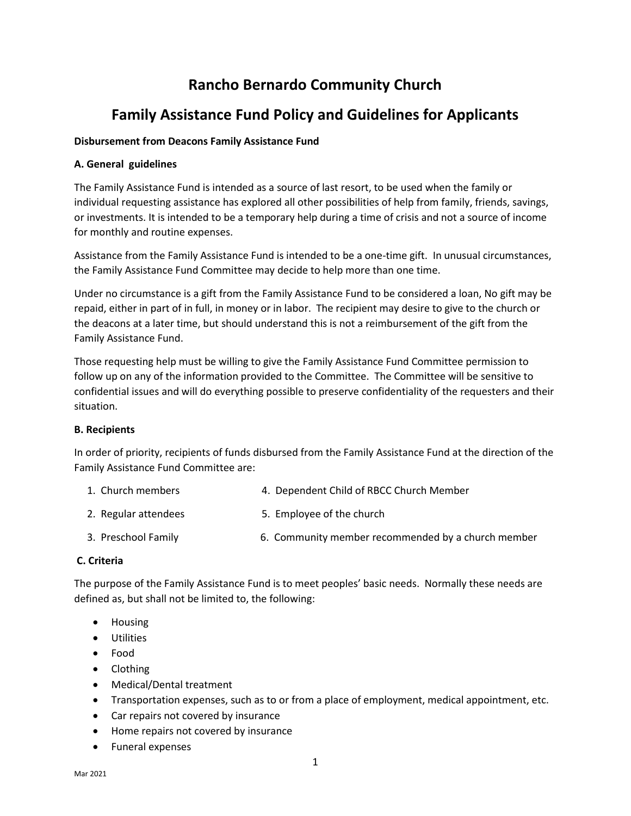# **Rancho Bernardo Community Church**

# **Family Assistance Fund Policy and Guidelines for Applicants**

## **Disbursement from Deacons Family Assistance Fund**

## **A. General guidelines**

The Family Assistance Fund is intended as a source of last resort, to be used when the family or individual requesting assistance has explored all other possibilities of help from family, friends, savings, or investments. It is intended to be a temporary help during a time of crisis and not a source of income for monthly and routine expenses.

Assistance from the Family Assistance Fund is intended to be a one-time gift. In unusual circumstances, the Family Assistance Fund Committee may decide to help more than one time.

Under no circumstance is a gift from the Family Assistance Fund to be considered a loan, No gift may be repaid, either in part of in full, in money or in labor. The recipient may desire to give to the church or the deacons at a later time, but should understand this is not a reimbursement of the gift from the Family Assistance Fund.

Those requesting help must be willing to give the Family Assistance Fund Committee permission to follow up on any of the information provided to the Committee. The Committee will be sensitive to confidential issues and will do everything possible to preserve confidentiality of the requesters and their situation.

### **B. Recipients**

In order of priority, recipients of funds disbursed from the Family Assistance Fund at the direction of the Family Assistance Fund Committee are:

| 1. Church members    | 4. Dependent Child of RBCC Church Member           |
|----------------------|----------------------------------------------------|
| 2. Regular attendees | 5. Employee of the church                          |
| 3. Preschool Family  | 6. Community member recommended by a church member |

## **C. Criteria**

The purpose of the Family Assistance Fund is to meet peoples' basic needs. Normally these needs are defined as, but shall not be limited to, the following:

- Housing
- Utilities
- Food
- Clothing
- Medical/Dental treatment
- Transportation expenses, such as to or from a place of employment, medical appointment, etc.
- Car repairs not covered by insurance
- Home repairs not covered by insurance
- Funeral expenses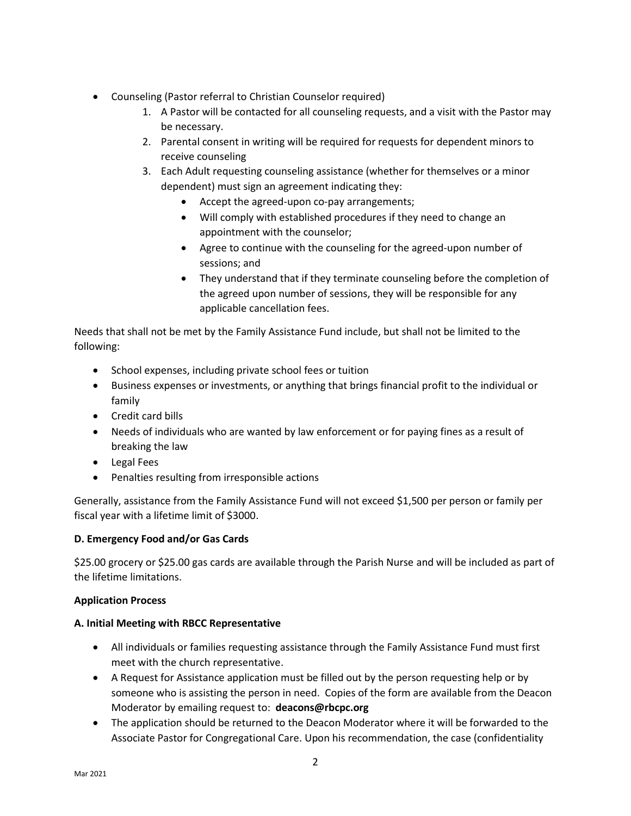- Counseling (Pastor referral to Christian Counselor required)
	- 1. A Pastor will be contacted for all counseling requests, and a visit with the Pastor may be necessary.
	- 2. Parental consent in writing will be required for requests for dependent minors to receive counseling
	- 3. Each Adult requesting counseling assistance (whether for themselves or a minor dependent) must sign an agreement indicating they:
		- Accept the agreed-upon co-pay arrangements;
		- Will comply with established procedures if they need to change an appointment with the counselor;
		- Agree to continue with the counseling for the agreed-upon number of sessions; and
		- They understand that if they terminate counseling before the completion of the agreed upon number of sessions, they will be responsible for any applicable cancellation fees.

Needs that shall not be met by the Family Assistance Fund include, but shall not be limited to the following:

- School expenses, including private school fees or tuition
- Business expenses or investments, or anything that brings financial profit to the individual or family
- Credit card bills
- Needs of individuals who are wanted by law enforcement or for paying fines as a result of breaking the law
- Legal Fees
- Penalties resulting from irresponsible actions

Generally, assistance from the Family Assistance Fund will not exceed \$1,500 per person or family per fiscal year with a lifetime limit of \$3000.

### **D. Emergency Food and/or Gas Cards**

\$25.00 grocery or \$25.00 gas cards are available through the Parish Nurse and will be included as part of the lifetime limitations.

### **Application Process**

### **A. Initial Meeting with RBCC Representative**

- All individuals or families requesting assistance through the Family Assistance Fund must first meet with the church representative.
- A Request for Assistance application must be filled out by the person requesting help or by someone who is assisting the person in need. Copies of the form are available from the Deacon Moderator by emailing request to: **deacons@rbcpc.org**
- The application should be returned to the Deacon Moderator where it will be forwarded to the Associate Pastor for Congregational Care. Upon his recommendation, the case (confidentiality